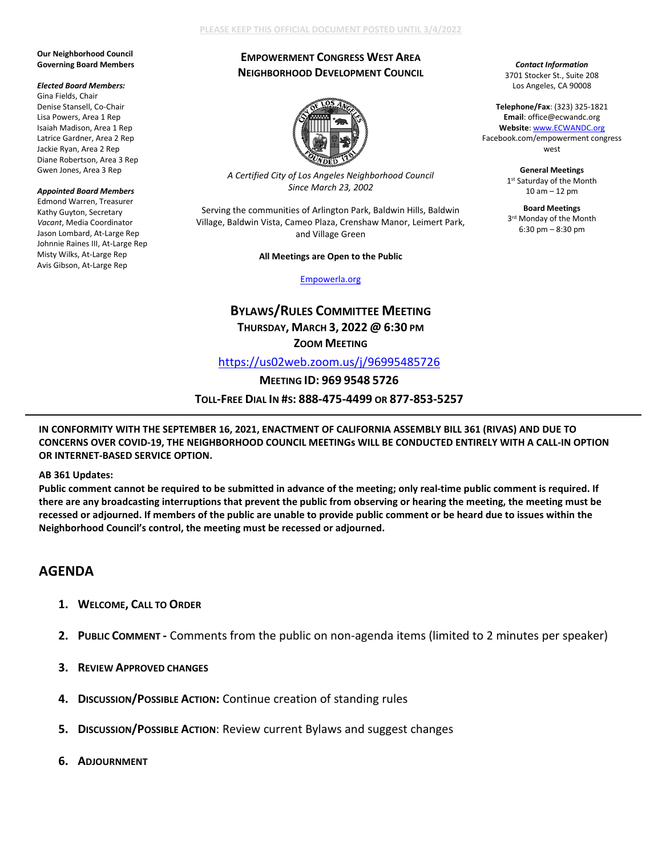## **PLEASE KEEP THIS OFFICIAL DOCUMENT POSTED UNTIL 3/4/2022**

### **Our Neighborhood Council Governing Board Members**

#### *Elected Board Members:*

Gina Fields, Chair Denise Stansell, Co-Chair Lisa Powers, Area 1 Rep Isaiah Madison, Area 1 Rep Latrice Gardner, Area 2 Rep Jackie Ryan, Area 2 Rep Diane Robertson, Area 3 Rep Gwen Jones, Area 3 Rep

#### *Appointed Board Members*

Edmond Warren, Treasurer Kathy Guyton, Secretary *Vacant*, Media Coordinator Jason Lombard, At-Large Rep Johnnie Raines III, At-Large Rep Misty Wilks, At-Large Rep Avis Gibson, At-Large Rep

## **EMPOWERMENT CONGRESS WEST AREA NEIGHBORHOOD DEVELOPMENT COUNCIL**

*Contact Information* 3701 Stocker St., Suite 208 Los Angeles, CA 90008

**Telephone/Fax**: (323) 325-1821 **Email**: office@ecwandc.org **Website**[: www.ECWANDC.org](http://www.ecwandc.org/) Facebook.com/empowerment congress west **General Meetings** 1st Saturday of the Month 10 am – 12 pm **Board Meetings** 3rd Monday of the Month 6:30 pm – 8:30 pm



*A Certified City of Los Angeles Neighborhood Council Since March 23, 2002*

Serving the communities of Arlington Park, Baldwin Hills, Baldwin Village, Baldwin Vista, Cameo Plaza, Crenshaw Manor, Leimert Park, and Village Green

#### **All Meetings are Open to the Public**

[Empowerla.org](http://www.empowerla.org/)

# **BYLAWS/RULES COMMITTEE MEETING THURSDAY, MARCH 3, 2022 @ 6:30 PM ZOOM MEETING**

<https://us02web.zoom.us/j/96995485726>

**MEETING ID: 969 9548 5726**

**TOLL-FREE DIAL IN #S: 888-475-4499 OR 877-853-5257**

**IN CONFORMITY WITH THE SEPTEMBER 16, 2021, ENACTMENT OF CALIFORNIA ASSEMBLY BILL 361 (RIVAS) AND DUE TO CONCERNS OVER COVID-19, THE NEIGHBORHOOD COUNCIL MEETINGs WILL BE CONDUCTED ENTIRELY WITH A CALL-IN OPTION OR INTERNET-BASED SERVICE OPTION.**

**AB 361 Updates:**

**Public comment cannot be required to be submitted in advance of the meeting; only real-time public comment is required. If there are any broadcasting interruptions that prevent the public from observing or hearing the meeting, the meeting must be recessed or adjourned. If members of the public are unable to provide public comment or be heard due to issues within the Neighborhood Council's control, the meeting must be recessed or adjourned.**

## **AGENDA**

- **1. WELCOME, CALL TO ORDER**
- **2. PUBLIC COMMENT -** Comments from the public on non-agenda items (limited to 2 minutes per speaker)
- **3. REVIEW APPROVED CHANGES**
- **4. DISCUSSION/POSSIBLE ACTION:** Continue creation of standing rules
- **5. DISCUSSION/POSSIBLE ACTION**: Review current Bylaws and suggest changes
- **6. ADJOURNMENT**